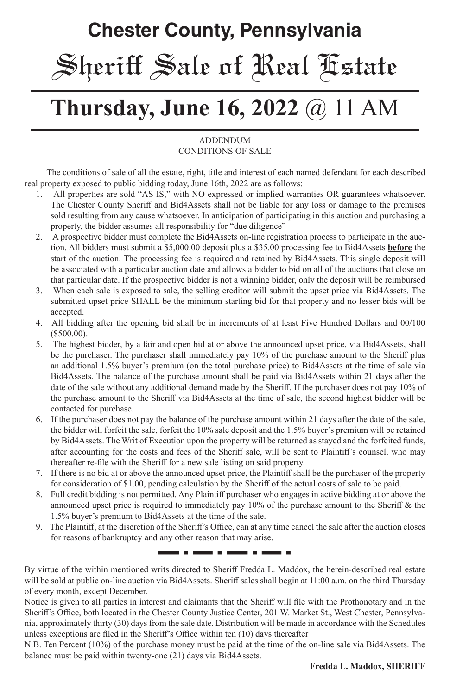# **Chester County, Pennsylvania** Sheriff Sale of Real Estate

# **Thursday, June 16, 2022** @ 11 AM

#### **ADDENDUM** CONDITIONS OF SALE

 The conditions of sale of all the estate, right, title and interest of each named defendant for each described real property exposed to public bidding today, June 16th, 2022 are as follows:

- 1. All properties are sold "AS IS," with NO expressed or implied warranties OR guarantees whatsoever. The Chester County Sheriff and Bid4Assets shall not be liable for any loss or damage to the premises sold resulting from any cause whatsoever. In anticipation of participating in this auction and purchasing a property, the bidder assumes all responsibility for "due diligence"
- 2. A prospective bidder must complete the Bid4Assets on-line registration process to participate in the auction. All bidders must submit a \$5,000.00 deposit plus a \$35.00 processing fee to Bid4Assets **before** the start of the auction. The processing fee is required and retained by Bid4Assets. This single deposit will be associated with a particular auction date and allows a bidder to bid on all of the auctions that close on that particular date. If the prospective bidder is not a winning bidder, only the deposit will be reimbursed
- 3. When each sale is exposed to sale, the selling creditor will submit the upset price via Bid4Assets. The submitted upset price SHALL be the minimum starting bid for that property and no lesser bids will be accepted.
- 4. All bidding after the opening bid shall be in increments of at least Five Hundred Dollars and 00/100 (\$500.00).
- 5. The highest bidder, by a fair and open bid at or above the announced upset price, via Bid4Assets, shall be the purchaser. The purchaser shall immediately pay 10% of the purchase amount to the Sheriff plus an additional 1.5% buyer's premium (on the total purchase price) to Bid4Assets at the time of sale via Bid4Assets. The balance of the purchase amount shall be paid via Bid4Assets within 21 days after the date of the sale without any additional demand made by the Sheriff. If the purchaser does not pay 10% of the purchase amount to the Sheriff via Bid4Assets at the time of sale, the second highest bidder will be contacted for purchase.
- 6. If the purchaser does not pay the balance of the purchase amount within 21 days after the date of the sale, the bidder will forfeit the sale, forfeit the 10% sale deposit and the 1.5% buyer's premium will be retained by Bid4Assets. The Writ of Execution upon the property will be returned as stayed and the forfeited funds, after accounting for the costs and fees of the Sheriff sale, will be sent to Plaintiff's counsel, who may thereafter re-file with the Sheriff for a new sale listing on said property.
- 7. If there is no bid at or above the announced upset price, the Plaintiff shall be the purchaser of the property for consideration of \$1.00, pending calculation by the Sheriff of the actual costs of sale to be paid.
- 8. Full credit bidding is not permitted. Any Plaintiff purchaser who engages in active bidding at or above the announced upset price is required to immediately pay 10% of the purchase amount to the Sheriff & the 1.5% buyer's premium to Bid4Assets at the time of the sale.
- 9. The Plaintiff, at the discretion of the Sheriff's Office, can at any time cancel the sale after the auction closes for reasons of bankruptcy and any other reason that may arise.

-----

By virtue of the within mentioned writs directed to Sheriff Fredda L. Maddox, the herein-described real estate will be sold at public on-line auction via Bid4Assets. Sheriff sales shall begin at 11:00 a.m. on the third Thursday of every month, except December.

- - -

. . .

Notice is given to all parties in interest and claimants that the Sheriff will file with the Prothonotary and in the Sheriff's Office, both located in the Chester County Justice Center, 201 W. Market St., West Chester, Pennsylvania, approximately thirty (30) days from the sale date. Distribution will be made in accordance with the Schedules unless exceptions are filed in the Sheriff's Office within ten (10) days thereafter

N.B. Ten Percent (10%) of the purchase money must be paid at the time of the on-line sale via Bid4Assets. The balance must be paid within twenty-one (21) days via Bid4Assets.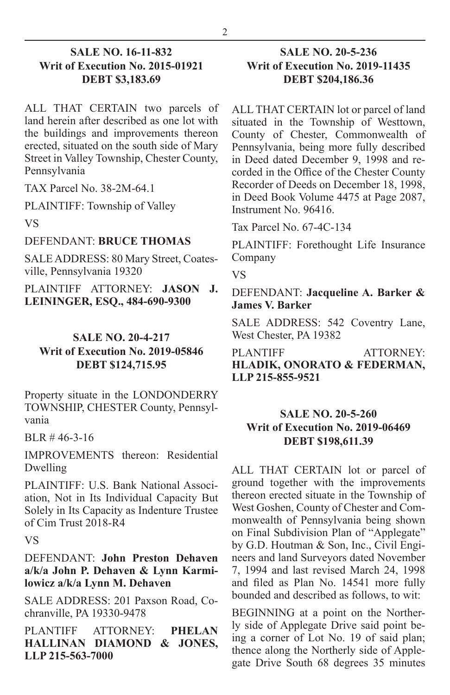#### **SALE NO. 16-11-832 Writ of Execution No. 2015-01921 DEBT \$3,183.69**

ALL THAT CERTAIN two parcels of land herein after described as one lot with the buildings and improvements thereon erected, situated on the south side of Mary Street in Valley Township, Chester County, Pennsylvania

TAX Parcel No. 38-2M-64.1

PLAINTIFF: Township of Valley

VS

#### DEFENDANT: **BRUCE THOMAS**

SALE ADDRESS: 80 Mary Street, Coatesville, Pennsylvania 19320

PLAINTIFF ATTORNEY: **JASON J. LEININGER, ESQ., 484-690-9300**

#### **SALE NO. 20-4-217 Writ of Execution No. 2019-05846 DEBT \$124,715.95**

Property situate in the LONDONDERRY TOWNSHIP, CHESTER County, Pennsylvania

BLR # 46-3-16

IMPROVEMENTS thereon: Residential Dwelling

PLAINTIFF: U.S. Bank National Association, Not in Its Individual Capacity But Solely in Its Capacity as Indenture Trustee of Cim Trust 2018-R4

VS

DEFENDANT: **John Preston Dehaven a/k/a John P. Dehaven & Lynn Karmilowicz a/k/a Lynn M. Dehaven**

SALE ADDRESS: 201 Paxson Road, Cochranville, PA 19330-9478

PLANTIFF ATTORNEY: **PHELAN HALLINAN DIAMOND & JONES, LLP 215-563-7000**

#### **SALE NO. 20-5-236 Writ of Execution No. 2019-11435 DEBT \$204,186.36**

ALL THAT CERTAIN lot or parcel of land situated in the Township of Westtown, County of Chester, Commonwealth of Pennsylvania, being more fully described in Deed dated December 9, 1998 and recorded in the Office of the Chester County Recorder of Deeds on December 18, 1998, in Deed Book Volume 4475 at Page 2087, Instrument No. 96416.

Tax Parcel No. 67-4C-134

PLAINTIFF: Forethought Life Insurance Company

VS

DEFENDANT: **Jacqueline A. Barker & James V. Barker**

SALE ADDRESS: 542 Coventry Lane, West Chester, PA 19382

PLANTIFF ATTORNEY **HLADIK, ONORATO & FEDERMAN, LLP 215-855-9521**

#### **SALE NO. 20-5-260 Writ of Execution No. 2019-06469 DEBT \$198,611.39**

ALL THAT CERTAIN lot or parcel of ground together with the improvements thereon erected situate in the Township of West Goshen, County of Chester and Commonwealth of Pennsylvania being shown on Final Subdivision Plan of "Applegate" by G.D. Houtman & Son, Inc., Civil Engineers and land Surveyors dated November 7, 1994 and last revised March 24, 1998 and filed as Plan No. 14541 more fully bounded and described as follows, to wit:

BEGINNING at a point on the Northerly side of Applegate Drive said point being a corner of Lot No. 19 of said plan; thence along the Northerly side of Applegate Drive South 68 degrees 35 minutes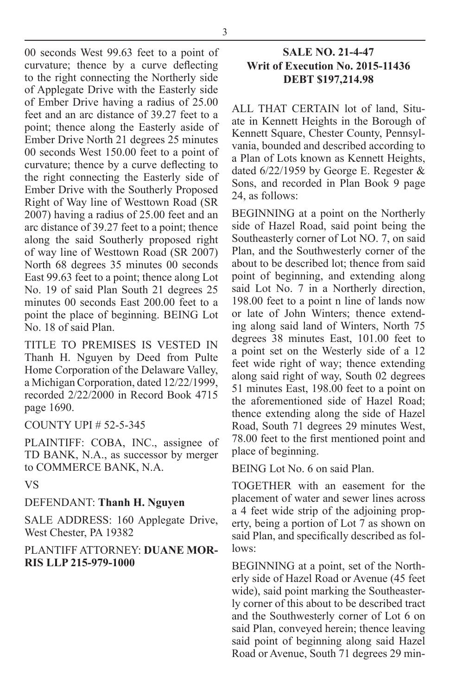00 seconds West 99.63 feet to a point of curvature; thence by a curve deflecting to the right connecting the Northerly side of Applegate Drive with the Easterly side of Ember Drive having a radius of 25.00 feet and an arc distance of 39.27 feet to a point; thence along the Easterly aside of Ember Drive North 21 degrees 25 minutes 00 seconds West 150.00 feet to a point of curvature; thence by a curve deflecting to the right connecting the Easterly side of Ember Drive with the Southerly Proposed Right of Way line of Westtown Road (SR 2007) having a radius of 25.00 feet and an arc distance of 39.27 feet to a point; thence along the said Southerly proposed right of way line of Westtown Road (SR 2007) North 68 degrees 35 minutes 00 seconds East 99.63 feet to a point; thence along Lot No. 19 of said Plan South 21 degrees 25 minutes 00 seconds East 200.00 feet to a point the place of beginning. BEING Lot No. 18 of said Plan.

TITLE TO PREMISES IS VESTED IN Thanh H. Nguyen by Deed from Pulte Home Corporation of the Delaware Valley, a Michigan Corporation, dated 12/22/1999, recorded 2/22/2000 in Record Book 4715 page 1690.

#### COUNTY UPI # 52-5-345

PLAINTIFF: COBA, INC., assignee of TD BANK, N.A., as successor by merger to COMMERCE BANK, N.A.

VS

### DEFENDANT: **Thanh H. Nguyen**

SALE ADDRESS: 160 Applegate Drive, West Chester, PA 19382

#### PLANTIFF ATTORNEY: **DUANE MOR-RIS LLP 215-979-1000**

#### **SALE NO. 21-4-47 Writ of Execution No. 2015-11436 DEBT \$197,214.98**

ALL THAT CERTAIN lot of land, Situate in Kennett Heights in the Borough of Kennett Square, Chester County, Pennsylvania, bounded and described according to a Plan of Lots known as Kennett Heights, dated 6/22/1959 by George E. Regester & Sons, and recorded in Plan Book 9 page 24, as follows:

BEGINNING at a point on the Northerly side of Hazel Road, said point being the Southeasterly corner of Lot NO. 7, on said Plan, and the Southwesterly corner of the about to be described lot; thence from said point of beginning, and extending along said Lot No. 7 in a Northerly direction, 198.00 feet to a point n line of lands now or late of John Winters; thence extending along said land of Winters, North 75 degrees 38 minutes East, 101.00 feet to a point set on the Westerly side of a 12 feet wide right of way; thence extending along said right of way, South 02 degrees 51 minutes East, 198.00 feet to a point on the aforementioned side of Hazel Road; thence extending along the side of Hazel Road, South 71 degrees 29 minutes West, 78.00 feet to the first mentioned point and place of beginning.

BEING Lot No. 6 on said Plan.

TOGETHER with an easement for the placement of water and sewer lines across a 4 feet wide strip of the adjoining property, being a portion of Lot 7 as shown on said Plan, and specifically described as follows:

BEGINNING at a point, set of the Northerly side of Hazel Road or Avenue (45 feet wide), said point marking the Southeasterly corner of this about to be described tract and the Southwesterly corner of Lot 6 on said Plan, conveyed herein; thence leaving said point of beginning along said Hazel Road or Avenue, South 71 degrees 29 min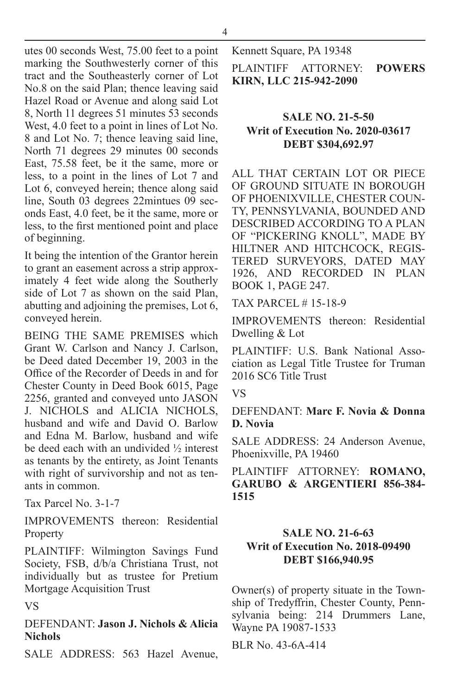4

utes 00 seconds West, 75.00 feet to a point marking the Southwesterly corner of this tract and the Southeasterly corner of Lot No.8 on the said Plan; thence leaving said Hazel Road or Avenue and along said Lot 8, North 11 degrees 51 minutes 53 seconds West, 4.0 feet to a point in lines of Lot No. 8 and Lot No. 7; thence leaving said line, North 71 degrees 29 minutes 00 seconds East, 75.58 feet, be it the same, more or less, to a point in the lines of Lot 7 and Lot 6, conveyed herein; thence along said line, South 03 degrees 22mintues 09 seconds East, 4.0 feet, be it the same, more or less, to the first mentioned point and place of beginning.

It being the intention of the Grantor herein to grant an easement across a strip approximately 4 feet wide along the Southerly side of Lot 7 as shown on the said Plan, abutting and adjoining the premises, Lot 6, conveyed herein.

BEING THE SAME PREMISES which Grant W. Carlson and Nancy J. Carlson, be Deed dated December 19, 2003 in the Office of the Recorder of Deeds in and for Chester County in Deed Book 6015, Page 2256, granted and conveyed unto JASON J. NICHOLS and ALICIA NICHOLS, husband and wife and David O. Barlow and Edna M. Barlow, husband and wife be deed each with an undivided ½ interest as tenants by the entirety, as Joint Tenants with right of survivorship and not as tenants in common.

Tax Parcel No. 3-1-7

IMPROVEMENTS thereon: Residential Property

PLAINTIFF: Wilmington Savings Fund Society, FSB, d/b/a Christiana Trust, not individually but as trustee for Pretium Mortgage Acquisition Trust

VS

DEFENDANT: **Jason J. Nichols & Alicia Nichols**

SALE ADDRESS: 563 Hazel Avenue,

Kennett Square, PA 19348

PLAINTIFF ATTORNEY: **POWERS KIRN, LLC 215-942-2090**

#### **SALE NO. 21-5-50 Writ of Execution No. 2020-03617 DEBT \$304,692.97**

ALL THAT CERTAIN LOT OR PIECE OF GROUND SITUATE IN BOROUGH OF PHOENIXVILLE, CHESTER COUN-TY, PENNSYLVANIA, BOUNDED AND DESCRIBED ACCORDING TO A PLAN OF "PICKERING KNOLL", MADE BY HILTNER AND HITCHCOCK, REGIS-TERED SURVEYORS, DATED MAY 1926, AND RECORDED IN PLAN BOOK 1, PAGE 247.

TAX PARCEL # 15-18-9

IMPROVEMENTS thereon: Residential Dwelling & Lot

PLAINTIFF: U.S. Bank National Association as Legal Title Trustee for Truman 2016 SC6 Title Trust

VS

DEFENDANT: **Marc F. Novia & Donna D. Novia**

SALE ADDRESS: 24 Anderson Avenue, Phoenixville, PA 19460

PLAINTIFF ATTORNEY: **ROMANO, GARUBO & ARGENTIERI 856-384- 1515**

#### **SALE NO. 21-6-63 Writ of Execution No. 2018-09490 DEBT \$166,940.95**

Owner(s) of property situate in the Township of Tredyffrin, Chester County, Pennsylvania being: 214 Drummers Lane, Wayne PA 19087-1533

BLR No. 43-6A-414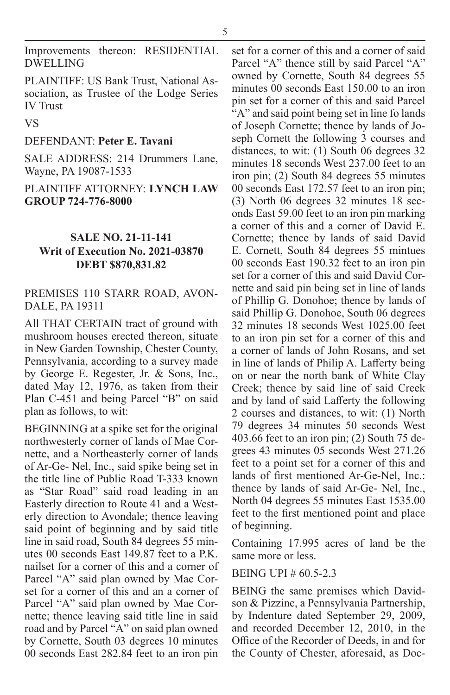Improvements thereon: RESIDENTIAL DWELLING

PLAINTIFF: US Bank Trust, National Association, as Trustee of the Lodge Series IV Trust

#### VS

#### DEFENDANT: **Peter E. Tavani**

SALE ADDRESS: 214 Drummers Lane, Wayne, PA 19087-1533

PLAINTIFF ATTORNEY: **LYNCH LAW GROUP 724-776-8000**

#### **SALE NO. 21-11-141 Writ of Execution No. 2021-03870 DEBT \$870,831.82**

#### PREMISES 110 STARR ROAD, AVON-DALE, PA 19311

All THAT CERTAIN tract of ground with mushroom houses erected thereon, situate in New Garden Township, Chester County, Pennsylvania, according to a survey made by George E. Regester, Jr. & Sons, Inc., dated May 12, 1976, as taken from their Plan C-451 and being Parcel "B" on said plan as follows, to wit:

BEGINNING at a spike set for the original northwesterly corner of lands of Mae Cornette, and a Northeasterly corner of lands of Ar-Ge- Nel, Inc., said spike being set in the title line of Public Road T-333 known as "Star Road" said road leading in an Easterly direction to Route 41 and a Westerly direction to Avondale; thence leaving said point of beginning and by said title line in said road, South 84 degrees 55 minutes 00 seconds East  $149.87$  feet to a P.K. nailset for a corner of this and a corner of Parcel "A" said plan owned by Mae Corset for a corner of this and an a corner of Parcel "A" said plan owned by Mae Cornette; thence leaving said title line in said road and by Parcel "A" on said plan owned by Cornette, South 03 degrees 10 minutes 00 seconds East 282.84 feet to an iron pin

set for a corner of this and a corner of said Parcel "A" thence still by said Parcel "A" owned by Cornette, South 84 degrees 55 minutes 00 seconds East 150.00 to an iron pin set for a corner of this and said Parcel "A" and said point being set in line fo lands of Joseph Cornette; thence by lands of Joseph Cornett the following 3 courses and distances, to wit: (1) South 06 degrees 32 minutes 18 seconds West 237.00 feet to an iron pin; (2) South 84 degrees 55 minutes 00 seconds East 172.57 feet to an iron pin; (3) North 06 degrees 32 minutes 18 seconds East 59.00 feet to an iron pin marking a corner of this and a corner of David E. Cornette; thence by lands of said David E. Cornett, South 84 degrees 55 mintues 00 seconds East 190.32 feet to an iron pin set for a corner of this and said David Cornette and said pin being set in line of lands of Phillip G. Donohoe; thence by lands of said Phillip G. Donohoe, South 06 degrees 32 minutes 18 seconds West 1025.00 feet to an iron pin set for a corner of this and a corner of lands of John Rosans, and set in line of lands of Philip A. Lafferty being on or near the north bank of White Clay Creek; thence by said line of said Creek and by land of said Lafferty the following 2 courses and distances, to wit: (1) North 79 degrees 34 minutes 50 seconds West 403.66 feet to an iron pin; (2) South 75 degrees 43 minutes 05 seconds West 271.26 feet to a point set for a corner of this and lands of first mentioned Ar-Ge-Nel, Inc.: thence by lands of said Ar-Ge- Nel, Inc., North 04 degrees 55 minutes East 1535.00 feet to the first mentioned point and place of beginning.

Containing 17.995 acres of land be the same more or less.

#### BEING UPI # 60.5-2.3

BEING the same premises which Davidson & Pizzine, a Pennsylvania Partnership, by Indenture dated September 29, 2009, and recorded December 12, 2010, in the Office of the Recorder of Deeds, in and for the County of Chester, aforesaid, as Doc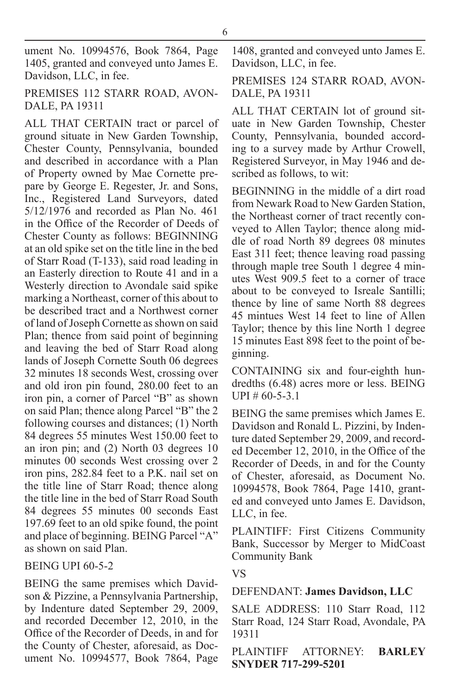ument No. 10994576, Book 7864, Page 1405, granted and conveyed unto James E. Davidson, LLC, in fee.

PREMISES 112 STARR ROAD, AVON-DALE, PA 19311

ALL THAT CERTAIN tract or parcel of ground situate in New Garden Township, Chester County, Pennsylvania, bounded and described in accordance with a Plan of Property owned by Mae Cornette prepare by George E. Regester, Jr. and Sons, Inc., Registered Land Surveyors, dated 5/12/1976 and recorded as Plan No. 461 in the Office of the Recorder of Deeds of Chester County as follows: BEGINNING at an old spike set on the title line in the bed of Starr Road (T-133), said road leading in an Easterly direction to Route 41 and in a Westerly direction to Avondale said spike marking a Northeast, corner of this about to be described tract and a Northwest corner of land of Joseph Cornette as shown on said Plan; thence from said point of beginning and leaving the bed of Starr Road along lands of Joseph Cornette South 06 degrees 32 minutes 18 seconds West, crossing over and old iron pin found, 280.00 feet to an iron pin, a corner of Parcel "B" as shown on said Plan; thence along Parcel "B" the 2 following courses and distances; (1) North 84 degrees 55 minutes West 150.00 feet to an iron pin; and (2) North 03 degrees 10 minutes 00 seconds West crossing over 2 iron pins, 282.84 feet to a P.K. nail set on the title line of Starr Road; thence along the title line in the bed of Starr Road South 84 degrees 55 minutes 00 seconds East 197.69 feet to an old spike found, the point and place of beginning. BEING Parcel "A" as shown on said Plan.

#### BEING UPI 60-5-2

BEING the same premises which Davidson & Pizzine, a Pennsylvania Partnership, by Indenture dated September 29, 2009, and recorded December 12, 2010, in the Office of the Recorder of Deeds, in and for the County of Chester, aforesaid, as Document No. 10994577, Book 7864, Page 1408, granted and conveyed unto James E. Davidson, LLC, in fee.

#### PREMISES 124 STARR ROAD, AVON-DALE, PA 19311

ALL THAT CERTAIN lot of ground situate in New Garden Township, Chester County, Pennsylvania, bounded according to a survey made by Arthur Crowell, Registered Surveyor, in May 1946 and described as follows, to wit:

BEGINNING in the middle of a dirt road from Newark Road to New Garden Station, the Northeast corner of tract recently conveyed to Allen Taylor; thence along middle of road North 89 degrees 08 minutes East 311 feet; thence leaving road passing through maple tree South 1 degree 4 minutes West 909.5 feet to a corner of trace about to be conveyed to Isreale Santilli; thence by line of same North 88 degrees 45 mintues West 14 feet to line of Allen Taylor; thence by this line North 1 degree 15 minutes East 898 feet to the point of beginning.

CONTAINING six and four-eighth hundredths (6.48) acres more or less. BEING  $UPI \# 60-5-3.1$ 

BEING the same premises which James E. Davidson and Ronald L. Pizzini, by Indenture dated September 29, 2009, and recorded December 12, 2010, in the Office of the Recorder of Deeds, in and for the County of Chester, aforesaid, as Document No. 10994578, Book 7864, Page 1410, granted and conveyed unto James E. Davidson, LLC, in fee.

PLAINTIFF: First Citizens Community Bank, Successor by Merger to MidCoast Community Bank

#### VS

#### DEFENDANT: **James Davidson, LLC**

SALE ADDRESS: 110 Starr Road, 112 Starr Road, 124 Starr Road, Avondale, PA 19311

PLAINTIFF ATTORNEY: **BARLEY SNYDER 717-299-5201**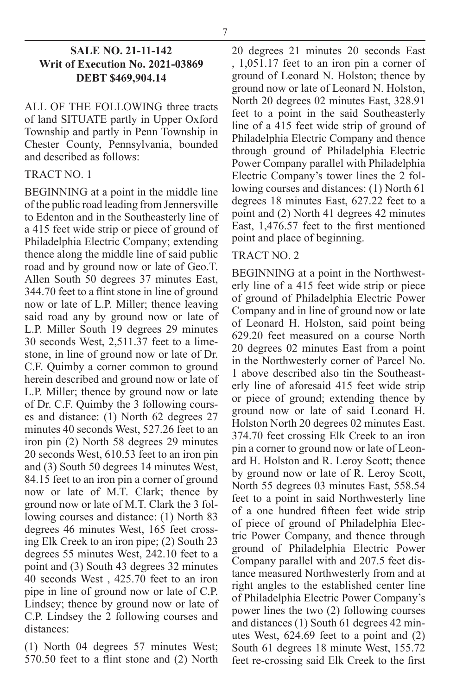#### **SALE NO. 21-11-142 Writ of Execution No. 2021-03869 DEBT \$469,904.14**

ALL OF THE FOLLOWING three tracts of land SITUATE partly in Upper Oxford Township and partly in Penn Township in Chester County, Pennsylvania, bounded and described as follows:

#### TRACT NO. 1

BEGINNING at a point in the middle line of the public road leading from Jennersville to Edenton and in the Southeasterly line of a 415 feet wide strip or piece of ground of Philadelphia Electric Company; extending thence along the middle line of said public road and by ground now or late of Geo.T. Allen South 50 degrees 37 minutes East, 344.70 feet to a flint stone in line of ground now or late of L.P. Miller; thence leaving said road any by ground now or late of L.P. Miller South 19 degrees 29 minutes 30 seconds West, 2,511.37 feet to a limestone, in line of ground now or late of Dr. C.F. Quimby a corner common to ground herein described and ground now or late of L.P. Miller; thence by ground now or late of Dr. C.F. Quimby the 3 following courses and distance: (1) North 62 degrees 27 minutes 40 seconds West, 527.26 feet to an iron pin (2) North 58 degrees 29 minutes 20 seconds West, 610.53 feet to an iron pin and (3) South 50 degrees 14 minutes West, 84.15 feet to an iron pin a corner of ground now or late of M.T. Clark; thence by ground now or late of M.T. Clark the 3 following courses and distance: (1) North 83 degrees 46 minutes West, 165 feet crossing Elk Creek to an iron pipe; (2) South 23 degrees 55 minutes West, 242.10 feet to a point and (3) South 43 degrees 32 minutes 40 seconds West , 425.70 feet to an iron pipe in line of ground now or late of C.P. Lindsey; thence by ground now or late of C.P. Lindsey the 2 following courses and distances:

(1) North 04 degrees 57 minutes West; 570.50 feet to a flint stone and (2) North 20 degrees 21 minutes 20 seconds East , 1,051.17 feet to an iron pin a corner of ground of Leonard N. Holston; thence by ground now or late of Leonard N. Holston, North 20 degrees 02 minutes East, 328.91 feet to a point in the said Southeasterly line of a 415 feet wide strip of ground of Philadelphia Electric Company and thence through ground of Philadelphia Electric Power Company parallel with Philadelphia Electric Company's tower lines the 2 following courses and distances: (1) North 61 degrees 18 minutes East, 627.22 feet to a point and (2) North 41 degrees 42 minutes East, 1,476.57 feet to the first mentioned point and place of beginning.

#### TRACT NO. 2

BEGINNING at a point in the Northwesterly line of a 415 feet wide strip or piece of ground of Philadelphia Electric Power Company and in line of ground now or late of Leonard H. Holston, said point being 629.20 feet measured on a course North 20 degrees 02 minutes East from a point in the Northwesterly corner of Parcel No. 1 above described also tin the Southeasterly line of aforesaid 415 feet wide strip or piece of ground; extending thence by ground now or late of said Leonard H. Holston North 20 degrees 02 minutes East. 374.70 feet crossing Elk Creek to an iron pin a corner to ground now or late of Leonard H. Holston and R. Leroy Scott; thence by ground now or late of R. Leroy Scott, North 55 degrees 03 minutes East, 558.54 feet to a point in said Northwesterly line of a one hundred fifteen feet wide strip of piece of ground of Philadelphia Electric Power Company, and thence through ground of Philadelphia Electric Power Company parallel with and 207.5 feet distance measured Northwesterly from and at right angles to the established center line of Philadelphia Electric Power Company's power lines the two (2) following courses and distances (1) South 61 degrees 42 minutes West, 624.69 feet to a point and (2) South 61 degrees 18 minute West, 155.72 feet re-crossing said Elk Creek to the first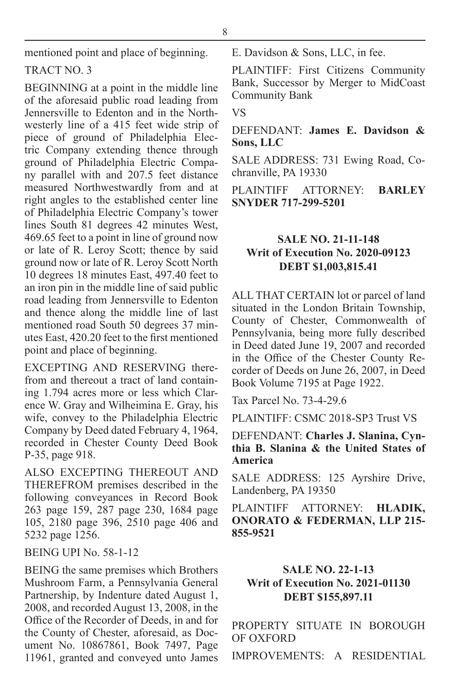mentioned point and place of beginning.

#### TRACT NO. 3

BEGINNING at a point in the middle line of the aforesaid public road leading from Jennersville to Edenton and in the Northwesterly line of a 415 feet wide strip of piece of ground of Philadelphia Electric Company extending thence through ground of Philadelphia Electric Company parallel with and 207.5 feet distance measured Northwestwardly from and at right angles to the established center line of Philadelphia Electric Company's tower lines South 81 degrees 42 minutes West, 469.65 feet to a point in line of ground now or late of R. Leroy Scott; thence by said ground now or late of R. Leroy Scott North 10 degrees 18 minutes East, 497.40 feet to an iron pin in the middle line of said public road leading from Jennersville to Edenton and thence along the middle line of last mentioned road South 50 degrees 37 minutes East, 420.20 feet to the first mentioned point and place of beginning.

EXCEPTING AND RESERVING therefrom and thereout a tract of land containing 1.794 acres more or less which Clarence W. Gray and Wilheimina E. Gray, his wife, convey to the Philadelphia Electric Company by Deed dated February 4, 1964, recorded in Chester County Deed Book P-35, page 918.

ALSO EXCEPTING THEREOUT AND THEREFROM premises described in the following conveyances in Record Book 263 page 159, 287 page 230, 1684 page 105, 2180 page 396, 2510 page 406 and 5232 page 1256.

BEING UPI No. 58-1-12

BEING the same premises which Brothers Mushroom Farm, a Pennsylvania General Partnership, by Indenture dated August 1, 2008, and recorded August 13, 2008, in the Office of the Recorder of Deeds, in and for the County of Chester, aforesaid, as Document No. 10867861, Book 7497, Page 11961, granted and conveyed unto James E. Davidson & Sons, LLC, in fee.

PLAINTIFF: First Citizens Community Bank, Successor by Merger to MidCoast Community Bank

VS

DEFENDANT: **James E. Davidson & Sons, LLC**

SALE ADDRESS: 731 Ewing Road, Cochranville, PA 19330

PLAINTIFF ATTORNEY: **BARLEY SNYDER 717-299-5201**

#### **SALE NO. 21-11-148 Writ of Execution No. 2020-09123 DEBT \$1,003,815.41**

ALL THAT CERTAIN lot or parcel of land situated in the London Britain Township, County of Chester, Commonwealth of Pennsylvania, being more fully described in Deed dated June 19, 2007 and recorded in the Office of the Chester County Recorder of Deeds on June 26, 2007, in Deed Book Volume 7195 at Page 1922.

Tax Parcel No. 73-4-29.6

PLAINTIFF: CSMC 2018-SP3 Trust VS

DEFENDANT: **Charles J. Slanina, Cynthia B. Slanina & the United States of America**

SALE ADDRESS: 125 Ayrshire Drive, Landenberg, PA 19350

PLAINTIFF ATTORNEY: **HLADIK, ONORATO & FEDERMAN, LLP 215- 855-9521**

#### **SALE NO. 22-1-13 Writ of Execution No. 2021-01130 DEBT \$155,897.11**

PROPERTY SITUATE IN BOROUGH OF OXFORD

IMPROVEMENTS: A RESIDENTIAL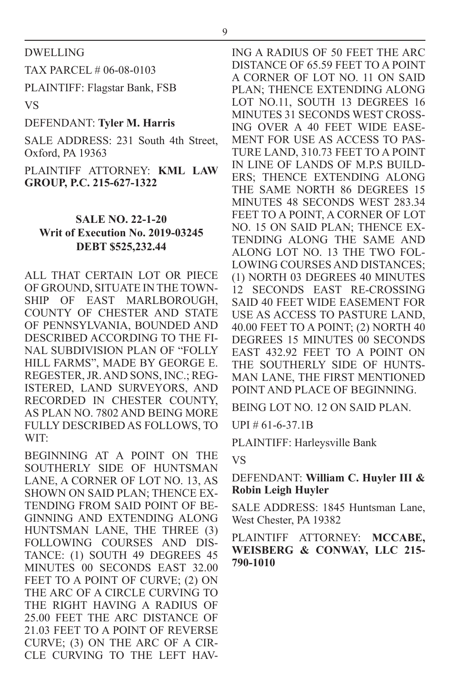DWELLING

TAX PARCEL # 06-08-0103

PLAINTIFF: Flagstar Bank, FSB

VS

#### DEFENDANT: **Tyler M. Harris**

SALE ADDRESS: 231 South 4th Street, Oxford, PA 19363

PLAINTIFF ATTORNEY: **KML LAW GROUP, P.C. 215-627-1322**

#### **SALE NO. 22-1-20 Writ of Execution No. 2019-03245 DEBT \$525,232.44**

ALL THAT CERTAIN LOT OR PIECE OF GROUND, SITUATE IN THE TOWN-SHIP OF EAST MARLBOROUGH, COUNTY OF CHESTER AND STATE OF PENNSYLVANIA, BOUNDED AND DESCRIBED ACCORDING TO THE FI-NAL SUBDIVISION PLAN OF "FOLLY HILL FARMS", MADE BY GEORGE E. REGESTER, JR. AND SONS, INC.; REG-ISTERED, LAND SURVEYORS, AND RECORDED IN CHESTER COUNTY, AS PLAN NO. 7802 AND BEING MORE FULLY DESCRIBED AS FOLLOWS, TO WIT:

BEGINNING AT A POINT ON THE SOUTHERLY SIDE OF HUNTSMAN LANE, A CORNER OF LOT NO. 13, AS SHOWN ON SAID PLAN; THENCE EX-TENDING FROM SAID POINT OF BE-GINNING AND EXTENDING ALONG HUNTSMAN LANE, THE THREE (3) FOLLOWING COURSES AND DIS-TANCE: (1) SOUTH 49 DEGREES 45 MINUTES 00 SECONDS EAST 32.00 FEET TO A POINT OF CURVE; (2) ON THE ARC OF A CIRCLE CURVING TO THE RIGHT HAVING A RADIUS OF 25.00 FEET THE ARC DISTANCE OF 21.03 FEET TO A POINT OF REVERSE CURVE; (3) ON THE ARC OF A CIR-CLE CURVING TO THE LEFT HAV- ING A RADIUS OF 50 FEET THE ARC DISTANCE OF 65.59 FEET TO A POINT A CORNER OF LOT NO. 11 ON SAID PLAN; THENCE EXTENDING ALONG LOT NO.11, SOUTH 13 DEGREES 16 MINUTES 31 SECONDS WEST CROSS-ING OVER A 40 FEET WIDE EASE-MENT FOR USE AS ACCESS TO PAS-TURE LAND, 310.73 FEET TO A POINT IN LINE OF LANDS OF M.P.S BUILD-ERS; THENCE EXTENDING ALONG THE SAME NORTH 86 DEGREES 15 MINUTES 48 SECONDS WEST 283.34 FEET TO A POINT, A CORNER OF LOT NO. 15 ON SAID PLAN; THENCE EX-TENDING ALONG THE SAME AND ALONG LOT NO. 13 THE TWO FOL-LOWING COURSES AND DISTANCES; (1) NORTH 03 DEGREES 40 MINUTES 12 SECONDS EAST RE-CROSSING SAID 40 FEET WIDE EASEMENT FOR USE AS ACCESS TO PASTURE LAND, 40.00 FEET TO A POINT; (2) NORTH 40 DEGREES 15 MINUTES 00 SECONDS EAST 432.92 FEET TO A POINT ON THE SOUTHERLY SIDE OF HUNTS-MAN LANE, THE FIRST MENTIONED POINT AND PLACE OF BEGINNING.

BEING LOT NO. 12 ON SAID PLAN.

UPI # 61-6-37.1B

PLAINTIFF: Harleysville Bank

VS

#### DEFENDANT: **William C. Huyler III & Robin Leigh Huyler**

SALE ADDRESS: 1845 Huntsman Lane, West Chester, PA 19382

PLAINTIFF ATTORNEY: **MCCABE, WEISBERG & CONWAY, LLC 215- 790-1010**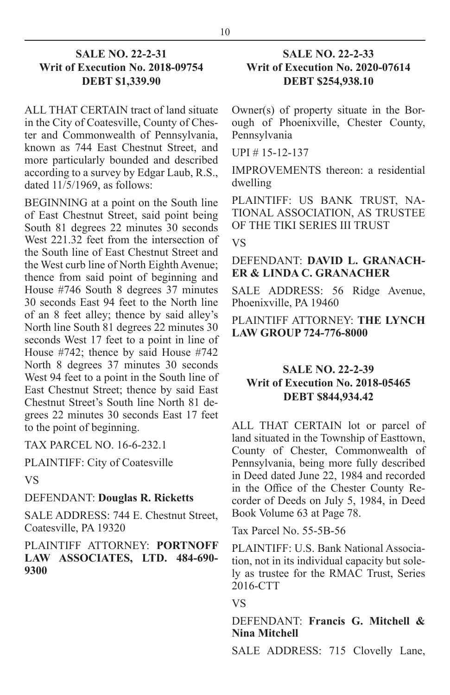#### **SALE NO. 22-2-31 Writ of Execution No. 2018-09754 DEBT \$1,339.90**

ALL THAT CERTAIN tract of land situate in the City of Coatesville, County of Chester and Commonwealth of Pennsylvania, known as 744 East Chestnut Street, and more particularly bounded and described according to a survey by Edgar Laub, R.S., dated  $11/5/1969$ , as follows:

BEGINNING at a point on the South line of East Chestnut Street, said point being South 81 degrees 22 minutes 30 seconds West 221.32 feet from the intersection of the South line of East Chestnut Street and the West curb line of North Eighth Avenue; thence from said point of beginning and House #746 South 8 degrees 37 minutes 30 seconds East 94 feet to the North line of an 8 feet alley; thence by said alley's North line South 81 degrees 22 minutes 30 seconds West 17 feet to a point in line of House #742; thence by said House #742 North 8 degrees 37 minutes 30 seconds West 94 feet to a point in the South line of East Chestnut Street; thence by said East Chestnut Street's South line North 81 degrees 22 minutes 30 seconds East 17 feet to the point of beginning.

TAX PARCEL NO. 16-6-232.1

PLAINTIFF: City of Coatesville

VS

#### DEFENDANT: **Douglas R. Ricketts**

SALE ADDRESS: 744 E. Chestnut Street, Coatesville, PA 19320

#### PLAINTIFF ATTORNEY: **PORTNOFF LAW ASSOCIATES, LTD. 484-690- 9300**

#### **SALE NO. 22-2-33 Writ of Execution No. 2020-07614 DEBT \$254,938.10**

Owner(s) of property situate in the Borough of Phoenixville, Chester County, Pennsylvania

UPI # 15-12-137

IMPROVEMENTS thereon: a residential dwelling

PLAINTIFF: US BANK TRUST, NA-TIONAL ASSOCIATION, AS TRUSTEE OF THE TIKI SERIES III TRUST

#### VS

#### DEFENDANT: **DAVID L. GRANACH-ER & LINDA C. GRANACHER**

SALE ADDRESS: 56 Ridge Avenue, Phoenixville, PA 19460

#### PLAINTIFF ATTORNEY: **THE LYNCH LAW GROUP 724-776-8000**

#### **SALE NO. 22-2-39 Writ of Execution No. 2018-05465 DEBT \$844,934.42**

ALL THAT CERTAIN lot or parcel of land situated in the Township of Easttown, County of Chester, Commonwealth of Pennsylvania, being more fully described in Deed dated June 22, 1984 and recorded in the Office of the Chester County Recorder of Deeds on July 5, 1984, in Deed Book Volume 63 at Page 78.

Tax Parcel No. 55-5B-56

PLAINTIFF: U.S. Bank National Association, not in its individual capacity but solely as trustee for the RMAC Trust, Series 2016-CTT

#### VS

#### DEFENDANT: **Francis G. Mitchell & Nina Mitchell**

SALE ADDRESS: 715 Clovelly Lane,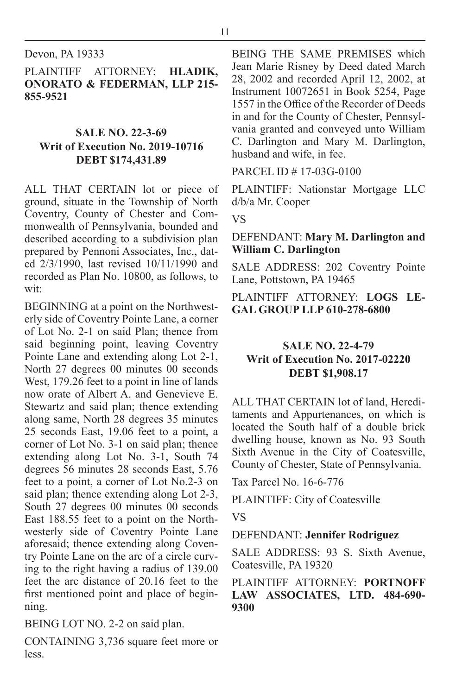Devon, PA 19333

PLAINTIFF ATTORNEY: **HLADIK, ONORATO & FEDERMAN, LLP 215- 855-9521**

#### **SALE NO. 22-3-69 Writ of Execution No. 2019-10716 DEBT \$174,431.89**

ALL THAT CERTAIN lot or piece of ground, situate in the Township of North Coventry, County of Chester and Commonwealth of Pennsylvania, bounded and described according to a subdivision plan prepared by Pennoni Associates, Inc., dated 2/3/1990, last revised 10/11/1990 and recorded as Plan No. 10800, as follows, to wit:

BEGINNING at a point on the Northwesterly side of Coventry Pointe Lane, a corner of Lot No. 2-1 on said Plan; thence from said beginning point, leaving Coventry Pointe Lane and extending along Lot 2-1, North 27 degrees 00 minutes 00 seconds West, 179.26 feet to a point in line of lands now orate of Albert A. and Genevieve E. Stewartz and said plan; thence extending along same, North 28 degrees 35 minutes 25 seconds East, 19.06 feet to a point, a corner of Lot No. 3-1 on said plan; thence extending along Lot No. 3-1, South 74 degrees 56 minutes 28 seconds East, 5.76 feet to a point, a corner of Lot No.2-3 on said plan; thence extending along Lot 2-3, South 27 degrees 00 minutes 00 seconds East 188.55 feet to a point on the Northwesterly side of Coventry Pointe Lane aforesaid; thence extending along Coventry Pointe Lane on the arc of a circle curving to the right having a radius of 139.00 feet the arc distance of 20.16 feet to the first mentioned point and place of beginning.

BEING LOT NO. 2-2 on said plan.

CONTAINING 3,736 square feet more or less.

BEING THE SAME PREMISES which Jean Marie Risney by Deed dated March 28, 2002 and recorded April 12, 2002, at Instrument 10072651 in Book 5254, Page 1557 in the Office of the Recorder of Deeds in and for the County of Chester, Pennsylvania granted and conveyed unto William C. Darlington and Mary M. Darlington, husband and wife, in fee.

PARCEL ID # 17-03G-0100

PLAINTIFF: Nationstar Mortgage LLC d/b/a Mr. Cooper

VS

#### DEFENDANT: **Mary M. Darlington and William C. Darlington**

SALE ADDRESS: 202 Coventry Pointe Lane, Pottstown, PA 19465

PLAINTIFF ATTORNEY: **LOGS LE-GAL GROUP LLP 610-278-6800**

#### **SALE NO. 22-4-79 Writ of Execution No. 2017-02220 DEBT \$1,908.17**

ALL THAT CERTAIN lot of land, Hereditaments and Appurtenances, on which is located the South half of a double brick dwelling house, known as No. 93 South Sixth Avenue in the City of Coatesville, County of Chester, State of Pennsylvania.

Tax Parcel No. 16-6-776

PLAINTIFF: City of Coatesville

VS

#### DEFENDANT: **Jennifer Rodriguez**

SALE ADDRESS: 93 S. Sixth Avenue, Coatesville, PA 19320

#### PLAINTIFF ATTORNEY: **PORTNOFF LAW ASSOCIATES, LTD. 484-690- 9300**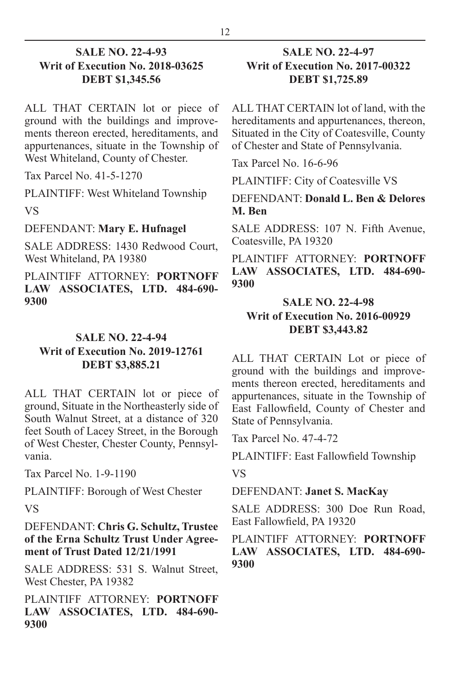#### **SALE NO. 22-4-93 Writ of Execution No. 2018-03625 DEBT \$1,345.56**

ALL THAT CERTAIN lot or piece of ground with the buildings and improvements thereon erected, hereditaments, and appurtenances, situate in the Township of West Whiteland, County of Chester.

Tax Parcel No. 41-5-1270

PLAINTIFF: West Whiteland Township VS

DEFENDANT: **Mary E. Hufnagel**

SALE ADDRESS: 1430 Redwood Court, West Whiteland, PA 19380

PLAINTIFF ATTORNEY: **PORTNOFF LAW ASSOCIATES, LTD. 484-690- 9300**

#### **SALE NO. 22-4-94 Writ of Execution No. 2019-12761 DEBT \$3,885.21**

ALL THAT CERTAIN lot or piece of ground, Situate in the Northeasterly side of South Walnut Street, at a distance of 320 feet South of Lacey Street, in the Borough of West Chester, Chester County, Pennsylvania.

Tax Parcel No. 1-9-1190

PLAINTIFF: Borough of West Chester

VS

#### DEFENDANT: **Chris G. Schultz, Trustee of the Erna Schultz Trust Under Agreement of Trust Dated 12/21/1991**

SALE ADDRESS: 531 S. Walnut Street, West Chester, PA 19382

PLAINTIFF ATTORNEY: **PORTNOFF LAW ASSOCIATES, LTD. 484-690- 9300**

#### **SALE NO. 22-4-97 Writ of Execution No. 2017-00322 DEBT \$1,725.89**

ALL THAT CERTAIN lot of land, with the hereditaments and appurtenances, thereon, Situated in the City of Coatesville, County of Chester and State of Pennsylvania.

Tax Parcel No. 16-6-96

PLAINTIFF: City of Coatesville VS

DEFENDANT: **Donald L. Ben & Delores M. Ben**

SALE ADDRESS: 107 N. Fifth Avenue, Coatesville, PA 19320

PLAINTIFF ATTORNEY: **PORTNOFF LAW ASSOCIATES, LTD. 484-690- 9300**

#### **SALE NO. 22-4-98 Writ of Execution No. 2016-00929 DEBT \$3,443.82**

ALL THAT CERTAIN Lot or piece of ground with the buildings and improvements thereon erected, hereditaments and appurtenances, situate in the Township of East Fallowfield, County of Chester and State of Pennsylvania.

Tax Parcel No. 47-4-72

PLAINTIFF: East Fallowfield Township

VS

DEFENDANT: **Janet S. MacKay**

SALE ADDRESS: 300 Doe Run Road, East Fallowfield, PA 19320

#### PLAINTIFF ATTORNEY: **PORTNOFF LAW ASSOCIATES, LTD. 484-690- 9300**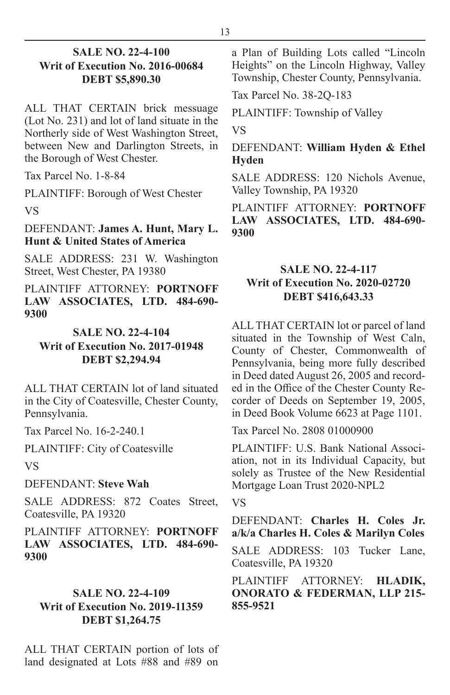#### **SALE NO. 22-4-100 Writ of Execution No. 2016-00684 DEBT \$5,890.30**

ALL THAT CERTAIN brick messuage (Lot No. 231) and lot of land situate in the Northerly side of West Washington Street, between New and Darlington Streets, in the Borough of West Chester.

Tax Parcel No. 1-8-84

PLAINTIFF: Borough of West Chester

VS

#### DEFENDANT: **James A. Hunt, Mary L. Hunt & United States of America**

SALE ADDRESS: 231 W. Washington Street, West Chester, PA 19380

PLAINTIFF ATTORNEY: **PORTNOFF LAW ASSOCIATES, LTD. 484-690- 9300**

#### **SALE NO. 22-4-104 Writ of Execution No. 2017-01948 DEBT \$2,294.94**

ALL THAT CERTAIN lot of land situated in the City of Coatesville, Chester County, Pennsylvania.

Tax Parcel No. 16-2-240.1

PLAINTIFF: City of Coatesville

VS

#### DEFENDANT: **Steve Wah**

SALE ADDRESS: 872 Coates Street, Coatesville, PA 19320

PLAINTIFF ATTORNEY: **PORTNOFF LAW ASSOCIATES, LTD. 484-690- 9300**

#### **SALE NO. 22-4-109 Writ of Execution No. 2019-11359 DEBT \$1,264.75**

ALL THAT CERTAIN portion of lots of land designated at Lots #88 and #89 on

a Plan of Building Lots called "Lincoln Heights" on the Lincoln Highway, Valley Township, Chester County, Pennsylvania.

Tax Parcel No. 38-2Q-183

PLAINTIFF: Township of Valley

VS

#### DEFENDANT: **William Hyden & Ethel Hyden**

SALE ADDRESS: 120 Nichols Avenue, Valley Township, PA 19320

PLAINTIFF ATTORNEY: **PORTNOFF LAW ASSOCIATES, LTD. 484-690- 9300**

#### **SALE NO. 22-4-117 Writ of Execution No. 2020-02720 DEBT \$416,643.33**

ALL THAT CERTAIN lot or parcel of land situated in the Township of West Caln, County of Chester, Commonwealth of Pennsylvania, being more fully described in Deed dated August 26, 2005 and recorded in the Office of the Chester County Recorder of Deeds on September 19, 2005, in Deed Book Volume 6623 at Page 1101.

Tax Parcel No. 2808 01000900

PLAINTIFF: U.S. Bank National Association, not in its Individual Capacity, but solely as Trustee of the New Residential Mortgage Loan Trust 2020-NPL2

VS

DEFENDANT: **Charles H. Coles Jr. a/k/a Charles H. Coles & Marilyn Coles**

SALE ADDRESS: 103 Tucker Lane, Coatesville, PA 19320

PLAINTIFF ATTORNEY: **HLADIK, ONORATO & FEDERMAN, LLP 215- 855-9521**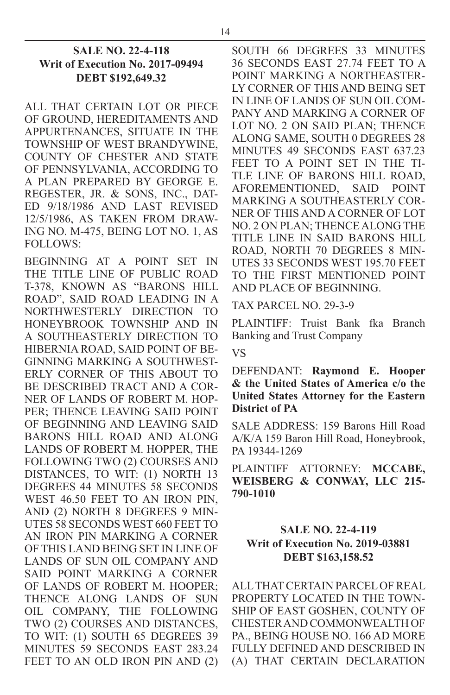#### **SALE NO. 22-4-118 Writ of Execution No. 2017-09494 DEBT \$192,649.32**

ALL THAT CERTAIN LOT OR PIECE OF GROUND, HEREDITAMENTS AND APPURTENANCES, SITUATE IN THE TOWNSHIP OF WEST BRANDYWINE, COUNTY OF CHESTER AND STATE OF PENNSYLVANIA, ACCORDING TO A PLAN PREPARED BY GEORGE E. REGESTER, JR. & SONS, INC., DAT-ED 9/18/1986 AND LAST REVISED 12/5/1986, AS TAKEN FROM DRAW-ING NO. M-475, BEING LOT NO. 1, AS FOLLOWS:

BEGINNING AT A POINT SET IN THE TITLE LINE OF PUBLIC ROAD T-378, KNOWN AS "BARONS HILL ROAD", SAID ROAD LEADING IN A NORTHWESTERLY DIRECTION TO HONEYBROOK TOWNSHIP AND IN A SOUTHEASTERLY DIRECTION TO HIBERNIA ROAD, SAID POINT OF BE-GINNING MARKING A SOUTHWEST-ERLY CORNER OF THIS ABOUT TO BE DESCRIBED TRACT AND A COR-NER OF LANDS OF ROBERT M. HOP-PER; THENCE LEAVING SAID POINT OF BEGINNING AND LEAVING SAID BARONS HILL ROAD AND ALONG LANDS OF ROBERT M. HOPPER, THE FOLLOWING TWO (2) COURSES AND DISTANCES, TO WIT: (1) NORTH 13 DEGREES 44 MINUTES 58 SECONDS WEST 46.50 FEET TO AN IRON PIN, AND (2) NORTH 8 DEGREES 9 MIN-UTES 58 SECONDS WEST 660 FEET TO AN IRON PIN MARKING A CORNER OF THIS LAND BEING SET IN LINE OF LANDS OF SUN OIL COMPANY AND SAID POINT MARKING A CORNER OF LANDS OF ROBERT M. HOOPER; THENCE ALONG LANDS OF SUN OIL COMPANY, THE FOLLOWING TWO (2) COURSES AND DISTANCES, TO WIT: (1) SOUTH 65 DEGREES 39 MINUTES 59 SECONDS EAST 283.24 FEET TO AN OLD IRON PIN AND (2) SOUTH 66 DEGREES 33 MINUTES 36 SECONDS EAST 27.74 FEET TO A POINT MARKING A NORTHEASTER-LY CORNER OF THIS AND BEING SET IN LINE OF LANDS OF SUN OIL COM-PANY AND MARKING A CORNER OF LOT NO. 2 ON SAID PLAN; THENCE ALONG SAME, SOUTH 0 DEGREES 28 MINUTES 49 SECONDS EAST 637.23 FEET TO A POINT SET IN THE TI-TLE LINE OF BARONS HILL ROAD, AFOREMENTIONED, SAID POINT MARKING A SOUTHEASTERLY COR-NER OF THIS AND A CORNER OF LOT NO. 2 ON PLAN; THENCE ALONG THE TITLE LINE IN SAID BARONS HILL ROAD, NORTH 70 DEGREES 8 MIN-UTES 33 SECONDS WEST 195.70 FEET TO THE FIRST MENTIONED POINT AND PLACE OF BEGINNING.

TAX PARCEL NO. 29-3-9

PLAINTIFF: Truist Bank fka Branch Banking and Trust Company

VS

DEFENDANT: **Raymond E. Hooper & the United States of America c/o the United States Attorney for the Eastern District of PA**

SALE ADDRESS: 159 Barons Hill Road A/K/A 159 Baron Hill Road, Honeybrook, PA 19344-1269

PLAINTIFF ATTORNEY: **MCCABE, WEISBERG & CONWAY, LLC 215- 790-1010**

#### **SALE NO. 22-4-119 Writ of Execution No. 2019-03881 DEBT \$163,158.52**

ALL THAT CERTAIN PARCEL OF REAL PROPERTY LOCATED IN THE TOWN-SHIP OF EAST GOSHEN, COUNTY OF CHESTER AND COMMONWEALTH OF PA., BEING HOUSE NO. 166 AD MORE FULLY DEFINED AND DESCRIBED IN (A) THAT CERTAIN DECLARATION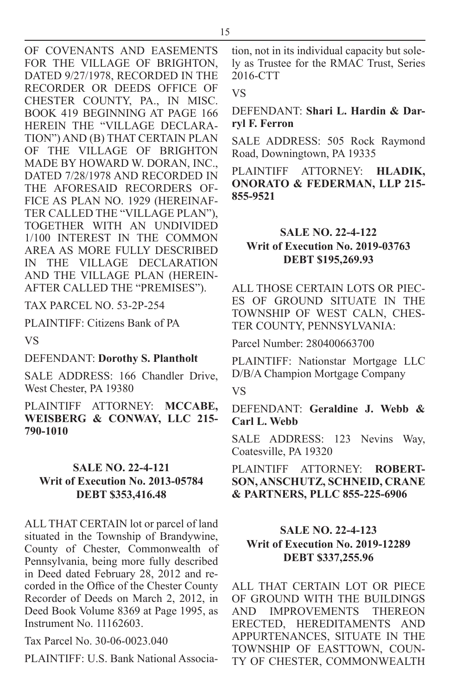OF COVENANTS AND EASEMENTS FOR THE VILLAGE OF BRIGHTON, DATED 9/27/1978, RECORDED IN THE RECORDER OR DEEDS OFFICE OF CHESTER COUNTY, PA., IN MISC. BOOK 419 BEGINNING AT PAGE 166 HEREIN THE "VILLAGE DECLARA-TION") AND (B) THAT CERTAIN PLAN OF THE VILLAGE OF BRIGHTON MADE BY HOWARD W. DORAN, INC., DATED 7/28/1978 AND RECORDED IN THE AFORESAID RECORDERS OF-FICE AS PLAN NO. 1929 (HEREINAF-TER CALLED THE "VILLAGE PLAN"),

TOGETHER WITH AN UNDIVIDED 1/100 INTEREST IN THE COMMON AREA AS MORE FULLY DESCRIBED IN THE VILLAGE DECLARATION AND THE VILLAGE PLAN (HEREIN-AFTER CALLED THE "PREMISES").

TAX PARCEL NO. 53-2P-254

PLAINTIFF: Citizens Bank of PA

VS

#### DEFENDANT: **Dorothy S. Plantholt**

SALE ADDRESS: 166 Chandler Drive, West Chester, PA 19380

PLAINTIFF ATTORNEY: **MCCABE, WEISBERG & CONWAY, LLC 215- 790-1010**

#### **SALE NO. 22-4-121 Writ of Execution No. 2013-05784 DEBT \$353,416.48**

ALL THAT CERTAIN lot or parcel of land situated in the Township of Brandywine, County of Chester, Commonwealth of Pennsylvania, being more fully described in Deed dated February 28, 2012 and recorded in the Office of the Chester County Recorder of Deeds on March 2, 2012, in Deed Book Volume 8369 at Page 1995, as Instrument No. 11162603.

Tax Parcel No. 30-06-0023.040

PLAINTIFF: U.S. Bank National Associa-

tion, not in its individual capacity but solely as Trustee for the RMAC Trust, Series 2016-CTT

VS

DEFENDANT: **Shari L. Hardin & Darryl F. Ferron**

SALE ADDRESS: 505 Rock Raymond Road, Downingtown, PA 19335

PLAINTIFF ATTORNEY: **HLADIK, ONORATO & FEDERMAN, LLP 215- 855-9521**

#### **SALE NO. 22-4-122 Writ of Execution No. 2019-03763 DEBT \$195,269.93**

ALL THOSE CERTAIN LOTS OR PIEC-ES OF GROUND SITUATE IN THE TOWNSHIP OF WEST CALN, CHES-TER COUNTY, PENNSYLVANIA:

Parcel Number: 280400663700

PLAINTIFF: Nationstar Mortgage LLC D/B/A Champion Mortgage Company

VS

DEFENDANT: **Geraldine J. Webb & Carl L. Webb**

SALE ADDRESS: 123 Nevins Way, Coatesville, PA 19320

PLAINTIFF ATTORNEY: **ROBERT-SON, ANSCHUTZ, SCHNEID, CRANE & PARTNERS, PLLC 855-225-6906**

#### **SALE NO. 22-4-123 Writ of Execution No. 2019-12289 DEBT \$337,255.96**

ALL THAT CERTAIN LOT OR PIECE OF GROUND WITH THE BUILDINGS AND IMPROVEMENTS THEREON ERECTED, HEREDITAMENTS AND APPURTENANCES, SITUATE IN THE TOWNSHIP OF EASTTOWN, COUN-TY OF CHESTER, COMMONWEALTH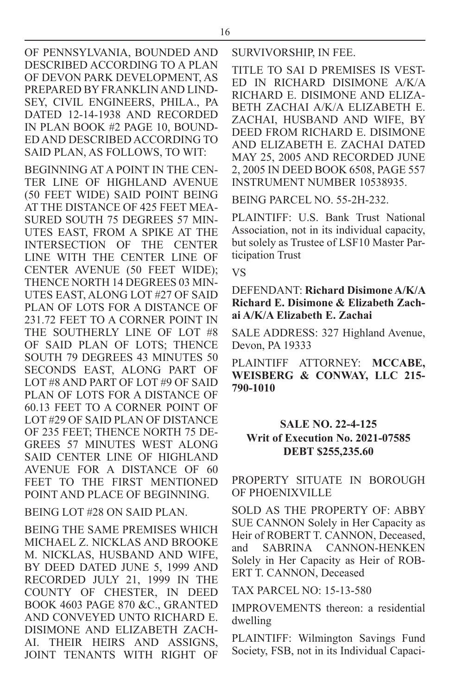DATED 12-14-1938 AND RECORDED IN PLAN BOOK #2 PAGE 10, BOUND-ED AND DESCRIBED ACCORDING TO SAID PLAN, AS FOLLOWS, TO WIT:

BEGINNING AT A POINT IN THE CEN-TER LINE OF HIGHLAND AVENUE (50 FEET WIDE) SAID POINT BEING AT THE DISTANCE OF 425 FEET MEA-SURED SOUTH 75 DEGREES 57 MIN-UTES EAST, FROM A SPIKE AT THE INTERSECTION OF THE CENTER LINE WITH THE CENTER LINE OF CENTER AVENUE (50 FEET WIDE); THENCE NORTH 14 DEGREES 03 MIN-UTES EAST, ALONG LOT #27 OF SAID PLAN OF LOTS FOR A DISTANCE OF 231.72 FEET TO A CORNER POINT IN THE SOUTHERLY LINE OF LOT #8 OF SAID PLAN OF LOTS; THENCE SOUTH 79 DEGREES 43 MINUTES 50 SECONDS EAST, ALONG PART OF LOT #8 AND PART OF LOT #9 OF SAID PLAN OF LOTS FOR A DISTANCE OF 60.13 FEET TO A CORNER POINT OF LOT #29 OF SAID PLAN OF DISTANCE OF 235 FEET; THENCE NORTH 75 DE-GREES 57 MINUTES WEST ALONG SAID CENTER LINE OF HIGHLAND AVENUE FOR A DISTANCE OF 60 FEET TO THE FIRST MENTIONED POINT AND PLACE OF BEGINNING.

#### BEING LOT #28 ON SAID PLAN.

BEING THE SAME PREMISES WHICH MICHAEL Z. NICKLAS AND BROOKE M. NICKLAS, HUSBAND AND WIFE, BY DEED DATED JUNE 5, 1999 AND RECORDED JULY 21, 1999 IN THE COUNTY OF CHESTER, IN DEED BOOK 4603 PAGE 870 &C., GRANTED AND CONVEYED UNTO RICHARD E. DISIMONE AND ELIZABETH ZACH-AI. THEIR HEIRS AND ASSIGNS, JOINT TENANTS WITH RIGHT OF SURVIVORSHIP, IN FEE.

TITLE TO SAI D PREMISES IS VEST-ED IN RICHARD DISIMONE A/K/A RICHARD E. DISIMONE AND ELIZA-BETH ZACHAI A/K/A ELIZABETH E. ZACHAI, HUSBAND AND WIFE, BY DEED FROM RICHARD E. DISIMONE AND ELIZABETH E. ZACHAI DATED MAY 25, 2005 AND RECORDED JUNE 2, 2005 IN DEED BOOK 6508, PAGE 557 INSTRUMENT NUMBER 10538935.

BEING PARCEL NO. 55-2H-232.

PLAINTIFF: U.S. Bank Trust National Association, not in its individual capacity, but solely as Trustee of LSF10 Master Participation Trust

#### VS

#### DEFENDANT: **Richard Disimone A/K/A Richard E. Disimone & Elizabeth Zachai A/K/A Elizabeth E. Zachai**

SALE ADDRESS: 327 Highland Avenue, Devon, PA 19333

PLAINTIFF ATTORNEY: **MCCABE, WEISBERG & CONWAY, LLC 215- 790-1010**

#### **SALE NO. 22-4-125 Writ of Execution No. 2021-07585 DEBT \$255,235.60**

#### PROPERTY SITUATE IN BOROUGH OF PHOENIXVILLE

SOLD AS THE PROPERTY OF: ABBY SUE CANNON Solely in Her Capacity as Heir of ROBERT T. CANNON, Deceased, and SABRINA CANNON-HENKEN Solely in Her Capacity as Heir of ROB-ERT T. CANNON, Deceased

TAX PARCEL NO: 15-13-580

IMPROVEMENTS thereon: a residential dwelling

PLAINTIFF: Wilmington Savings Fund Society, FSB, not in its Individual Capaci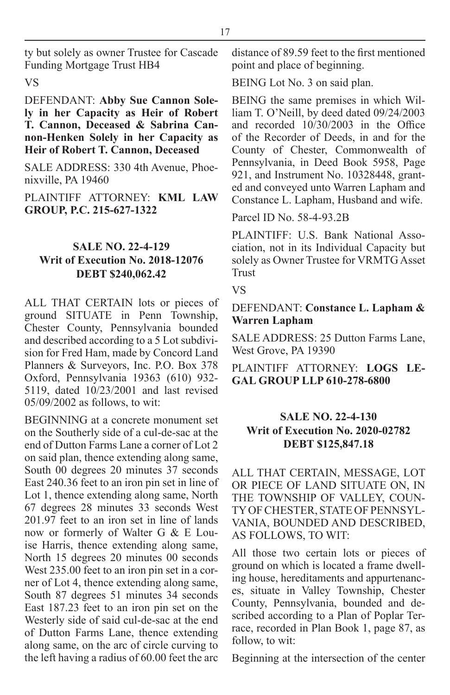ty but solely as owner Trustee for Cascade Funding Mortgage Trust HB4

VS

#### DEFENDANT: **Abby Sue Cannon Solely in her Capacity as Heir of Robert T. Cannon, Deceased & Sabrina Cannon-Henken Solely in her Capacity as Heir of Robert T. Cannon, Deceased**

SALE ADDRESS: 330 4th Avenue, Phoenixville, PA 19460

PLAINTIFF ATTORNEY: **KML LAW GROUP, P.C. 215-627-1322**

#### **SALE NO. 22-4-129 Writ of Execution No. 2018-12076 DEBT \$240,062.42**

ALL THAT CERTAIN lots or pieces of ground SITUATE in Penn Township, Chester County, Pennsylvania bounded and described according to a 5 Lot subdivision for Fred Ham, made by Concord Land Planners & Surveyors, Inc. P.O. Box 378 Oxford, Pennsylvania 19363 (610) 932- 5119, dated 10/23/2001 and last revised 05/09/2002 as follows, to wit:

BEGINNING at a concrete monument set on the Southerly side of a cul-de-sac at the end of Dutton Farms Lane a corner of Lot 2 on said plan, thence extending along same, South 00 degrees 20 minutes 37 seconds East 240.36 feet to an iron pin set in line of Lot 1, thence extending along same, North 67 degrees 28 minutes 33 seconds West 201.97 feet to an iron set in line of lands now or formerly of Walter G & E Louise Harris, thence extending along same, North 15 degrees 20 minutes 00 seconds West 235.00 feet to an iron pin set in a corner of Lot 4, thence extending along same, South 87 degrees 51 minutes 34 seconds East 187.23 feet to an iron pin set on the Westerly side of said cul-de-sac at the end of Dutton Farms Lane, thence extending along same, on the arc of circle curving to the left having a radius of 60.00 feet the arc

distance of 89.59 feet to the first mentioned point and place of beginning.

BEING Lot No. 3 on said plan.

BEING the same premises in which William T. O'Neill, by deed dated 09/24/2003 and recorded 10/30/2003 in the Office of the Recorder of Deeds, in and for the County of Chester, Commonwealth of Pennsylvania, in Deed Book 5958, Page 921, and Instrument No. 10328448, granted and conveyed unto Warren Lapham and Constance L. Lapham, Husband and wife.

Parcel ID No. 58-4-93.2B

PLAINTIFF: U.S. Bank National Association, not in its Individual Capacity but solely as Owner Trustee for VRMTG Asset Trust

VS

#### DEFENDANT: **Constance L. Lapham & Warren Lapham**

SALE ADDRESS: 25 Dutton Farms Lane, West Grove, PA 19390

PLAINTIFF ATTORNEY: **LOGS LE-GAL GROUP LLP 610-278-6800**

#### **SALE NO. 22-4-130 Writ of Execution No. 2020-02782 DEBT \$125,847.18**

ALL THAT CERTAIN, MESSAGE, LOT OR PIECE OF LAND SITUATE ON, IN THE TOWNSHIP OF VALLEY, COUN-TY OF CHESTER, STATE OF PENNSYL-VANIA, BOUNDED AND DESCRIBED, AS FOLLOWS, TO WIT:

All those two certain lots or pieces of ground on which is located a frame dwelling house, hereditaments and appurtenances, situate in Valley Township, Chester County, Pennsylvania, bounded and described according to a Plan of Poplar Terrace, recorded in Plan Book 1, page 87, as follow, to wit:

Beginning at the intersection of the center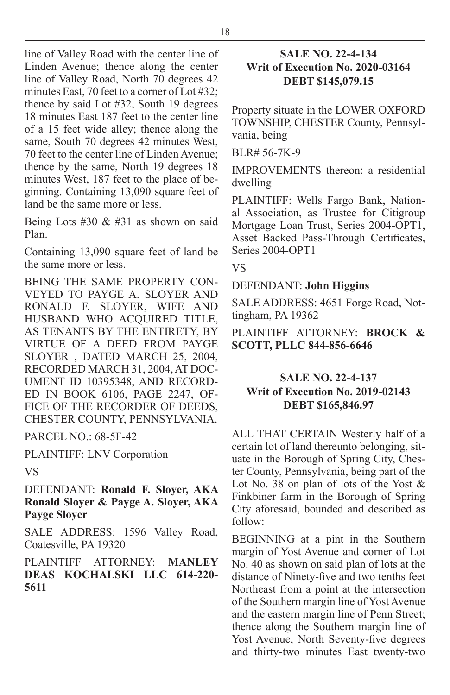line of Valley Road with the center line of Linden Avenue; thence along the center line of Valley Road, North 70 degrees 42 minutes East, 70 feet to a corner of Lot #32; thence by said Lot #32, South 19 degrees 18 minutes East 187 feet to the center line of a 15 feet wide alley; thence along the same, South 70 degrees 42 minutes West, 70 feet to the center line of Linden Avenue; thence by the same, North 19 degrees 18 minutes West, 187 feet to the place of beginning. Containing 13,090 square feet of land be the same more or less.

Being Lots #30  $& 431$  as shown on said Plan.

Containing 13,090 square feet of land be the same more or less.

BEING THE SAME PROPERTY CON-VEYED TO PAYGE A. SLOYER AND RONALD F. SLOYER, WIFE AND HUSBAND WHO ACQUIRED TITLE, AS TENANTS BY THE ENTIRETY, BY VIRTUE OF A DEED FROM PAYGE SLOYER , DATED MARCH 25, 2004, RECORDED MARCH 31, 2004, AT DOC-UMENT ID 10395348, AND RECORD-ED IN BOOK 6106, PAGE 2247, OF-FICE OF THE RECORDER OF DEEDS. CHESTER COUNTY, PENNSYLVANIA.

PARCEL NO.: 68-5F-42

PLAINTIFF: LNV Corporation

VS

DEFENDANT: **Ronald F. Sloyer, AKA Ronald Sloyer & Payge A. Sloyer, AKA Payge Sloyer**

SALE ADDRESS: 1596 Valley Road, Coatesville, PA 19320

PLAINTIFF ATTORNEY: **MANLEY DEAS KOCHALSKI LLC 614-220- 5611**

#### **SALE NO. 22-4-134 Writ of Execution No. 2020-03164 DEBT \$145,079.15**

Property situate in the LOWER OXFORD TOWNSHIP, CHESTER County, Pennsylvania, being

BLR# 56-7K-9

IMPROVEMENTS thereon: a residential dwelling

PLAINTIFF: Wells Fargo Bank, National Association, as Trustee for Citigroup Mortgage Loan Trust, Series 2004-OPT1, Asset Backed Pass-Through Certificates, Series 2004-OPT1

VS

DEFENDANT: **John Higgins**

SALE ADDRESS: 4651 Forge Road, Nottingham, PA 19362

PLAINTIFF ATTORNEY: **BROCK & SCOTT, PLLC 844-856-6646**

#### **SALE NO. 22-4-137 Writ of Execution No. 2019-02143 DEBT \$165,846.97**

ALL THAT CERTAIN Westerly half of a certain lot of land thereunto belonging, situate in the Borough of Spring City, Chester County, Pennsylvania, being part of the Lot No. 38 on plan of lots of the Yost & Finkbiner farm in the Borough of Spring City aforesaid, bounded and described as follow:

BEGINNING at a pint in the Southern margin of Yost Avenue and corner of Lot No. 40 as shown on said plan of lots at the distance of Ninety-five and two tenths feet Northeast from a point at the intersection of the Southern margin line of Yost Avenue and the eastern margin line of Penn Street; thence along the Southern margin line of Yost Avenue, North Seventy-five degrees and thirty-two minutes East twenty-two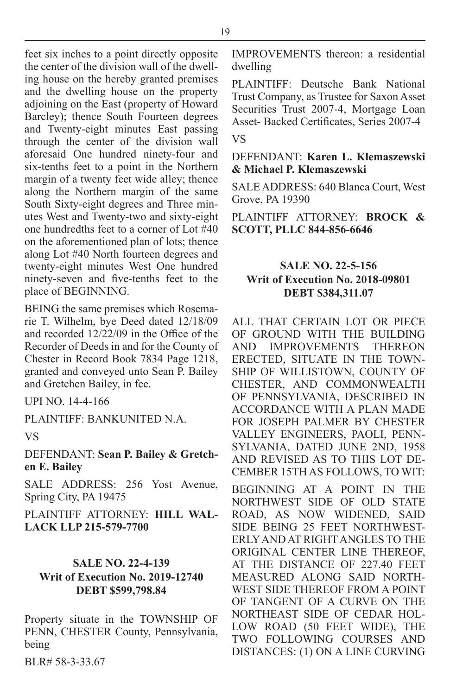feet six inches to a point directly opposite the center of the division wall of the dwelling house on the hereby granted premises and the dwelling house on the property adjoining on the East (property of Howard Barcley); thence South Fourteen degrees and Twenty-eight minutes East passing through the center of the division wall aforesaid One hundred ninety-four and six-tenths feet to a point in the Northern margin of a twenty feet wide alley; thence along the Northern margin of the same South Sixty-eight degrees and Three minutes West and Twenty-two and sixty-eight one hundredths feet to a corner of Lot #40 on the aforementioned plan of lots; thence along Lot #40 North fourteen degrees and twenty-eight minutes West One hundred ninety-seven and five-tenths feet to the place of BEGINNING.

BEING the same premises which Rosemarie T. Wilhelm, bye Deed dated 12/18/09 and recorded 12/22/09 in the Office of the Recorder of Deeds in and for the County of Chester in Record Book 7834 Page 1218, granted and conveyed unto Sean P. Bailey and Gretchen Bailey, in fee.

UPI NO. 14-4-166

PLAINTIFF: BANKUNITED N.A.

VS

DEFENDANT: **Sean P. Bailey & Gretchen E. Bailey**

SALE ADDRESS: 256 Yost Avenue, Spring City, PA 19475

PLAINTIFF ATTORNEY: **HILL WAL-LACK LLP 215-579-7700**

#### **SALE NO. 22-4-139 Writ of Execution No. 2019-12740 DEBT \$599,798.84**

Property situate in the TOWNSHIP OF PENN, CHESTER County, Pennsylvania, being

BLR# 58-3-33.67

IMPROVEMENTS thereon: a residential dwelling

PLAINTIFF: Deutsche Bank National Trust Company, as Trustee for Saxon Asset Securities Trust 2007-4, Mortgage Loan Asset- Backed Certificates, Series 2007-4

VS

DEFENDANT: **Karen L. Klemaszewski & Michael P. Klemaszewski**

SALE ADDRESS: 640 Blanca Court, West Grove, PA 19390

PLAINTIFF ATTORNEY: **BROCK & SCOTT, PLLC 844-856-6646**

#### **SALE NO. 22-5-156 Writ of Execution No. 2018-09801 DEBT \$384,311.07**

ALL THAT CERTAIN LOT OR PIECE OF GROUND WITH THE BUILDING<br>AND IMPROVEMENTS THEREON IMPROVEMENTS THEREON ERECTED, SITUATE IN THE TOWN-SHIP OF WILLISTOWN, COUNTY OF CHESTER, AND COMMONWEALTH OF PENNSYLVANIA, DESCRIBED IN ACCORDANCE WITH A PLAN MADE FOR JOSEPH PALMER BY CHESTER VALLEY ENGINEERS, PAOLI, PENN-SYLVANIA, DATED JUNE 2ND, 1958 AND REVISED AS TO THIS LOT DE-CEMBER 15TH AS FOLLOWS, TO WIT:

BEGINNING AT A POINT IN THE NORTHWEST SIDE OF OLD STATE ROAD, AS NOW WIDENED, SAID SIDE BEING 25 FEET NORTHWEST-ERLY AND AT RIGHT ANGLES TO THE ORIGINAL CENTER LINE THEREOF, AT THE DISTANCE OF 227.40 FEET MEASURED ALONG SAID NORTH-WEST SIDE THEREOF FROM A POINT OF TANGENT OF A CURVE ON THE NORTHEAST SIDE OF CEDAR HOL-LOW ROAD (50 FEET WIDE), THE TWO FOLLOWING COURSES AND DISTANCES: (1) ON A LINE CURVING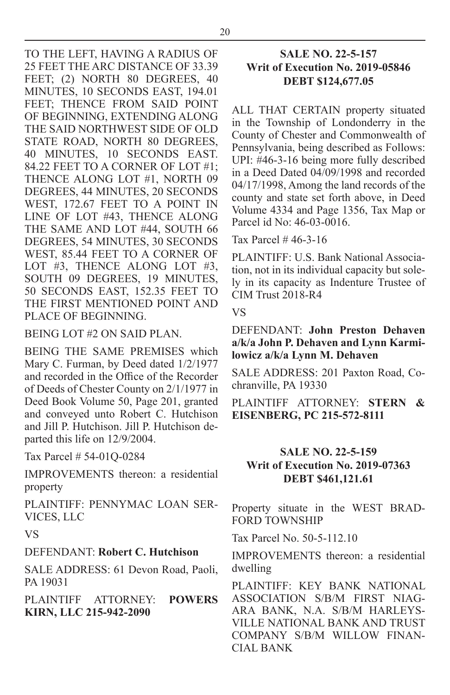TO THE LEFT, HAVING A RADIUS OF 25 FEET THE ARC DISTANCE OF 33.39 FEET; (2) NORTH 80 DEGREES, 40 MINUTES, 10 SECONDS EAST, 194.01 FEET; THENCE FROM SAID POINT OF BEGINNING, EXTENDING ALONG THE SAID NORTHWEST SIDE OF OLD STATE ROAD, NORTH 80 DEGREES, 40 MINUTES, 10 SECONDS EAST. 84.22 FEET TO A CORNER OF LOT #1; THENCE ALONG LOT #1, NORTH 09 DEGREES, 44 MINUTES, 20 SECONDS WEST, 172.67 FEET TO A POINT IN LINE OF LOT #43, THENCE ALONG THE SAME AND LOT #44, SOUTH 66 DEGREES, 54 MINUTES, 30 SECONDS WEST, 85.44 FEET TO A CORNER OF LOT #3, THENCE ALONG LOT #3, SOUTH 09 DEGREES, 19 MINUTES, 50 SECONDS EAST, 152.35 FEET TO THE FIRST MENTIONED POINT AND PLACE OF BEGINNING.

BEING LOT #2 ON SAID PLAN.

BEING THE SAME PREMISES which Mary C. Furman, by Deed dated 1/2/1977 and recorded in the Office of the Recorder of Deeds of Chester County on 2/1/1977 in Deed Book Volume 50, Page 201, granted and conveyed unto Robert C. Hutchison and Jill P. Hutchison. Jill P. Hutchison departed this life on 12/9/2004.

Tax Parcel # 54-01Q-0284

IMPROVEMENTS thereon: a residential property

PLAINTIFF: PENNYMAC LOAN SER-VICES, LLC

VS

#### DEFENDANT: **Robert C. Hutchison**

SALE ADDRESS: 61 Devon Road, Paoli, PA 19031

PLAINTIFF ATTORNEY: **POWERS KIRN, LLC 215-942-2090**

#### **SALE NO. 22-5-157 Writ of Execution No. 2019-05846 DEBT \$124,677.05**

ALL THAT CERTAIN property situated in the Township of Londonderry in the County of Chester and Commonwealth of Pennsylvania, being described as Follows: UPI: #46-3-16 being more fully described in a Deed Dated 04/09/1998 and recorded 04/17/1998, Among the land records of the county and state set forth above, in Deed Volume 4334 and Page 1356, Tax Map or Parcel id No: 46-03-0016.

Tax Parcel # 46-3-16

PLAINTIFF: U.S. Bank National Association, not in its individual capacity but solely in its capacity as Indenture Trustee of CIM Trust 2018-R4

#### VS

DEFENDANT: **John Preston Dehaven a/k/a John P. Dehaven and Lynn Karmilowicz a/k/a Lynn M. Dehaven**

SALE ADDRESS: 201 Paxton Road, Cochranville, PA 19330

PLAINTIFF ATTORNEY: **STERN & EISENBERG, PC 215-572-8111**

#### **SALE NO. 22-5-159 Writ of Execution No. 2019-07363 DEBT \$461,121.61**

Property situate in the WEST BRAD-FORD TOWNSHIP

Tax Parcel No. 50-5-112.10

IMPROVEMENTS thereon: a residential dwelling

PLAINTIFF: KEY BANK NATIONAL ASSOCIATION S/B/M FIRST NIAG-ARA BANK, N.A. S/B/M HARLEYS-VILLE NATIONAL BANK AND TRUST COMPANY S/B/M WILLOW FINAN-CIAL BANK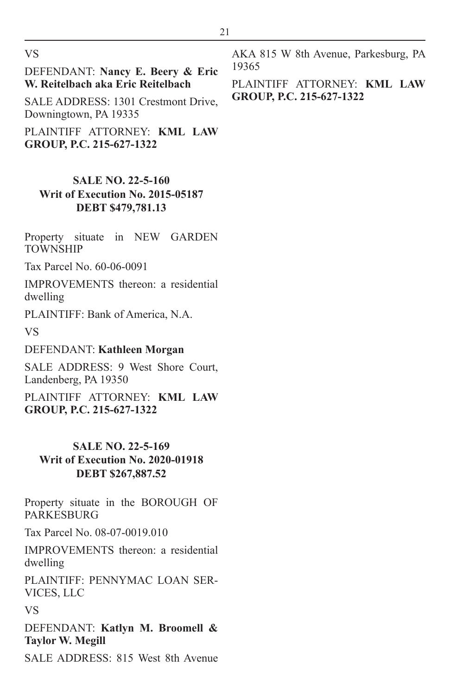VS

DEFENDANT: **Nancy E. Beery & Eric W. Reitelbach aka Eric Reitelbach**

SALE ADDRESS: 1301 Crestmont Drive, Downingtown, PA 19335

PLAINTIFF ATTORNEY: **KML LAW GROUP, P.C. 215-627-1322**

#### **SALE NO. 22-5-160 Writ of Execution No. 2015-05187 DEBT \$479,781.13**

Property situate in NEW GARDEN TOWNSHIP

Tax Parcel No. 60-06-0091

IMPROVEMENTS thereon: a residential dwelling

PLAINTIFF: Bank of America, N.A.

VS

#### DEFENDANT: **Kathleen Morgan**

SALE ADDRESS: 9 West Shore Court, Landenberg, PA 19350

PLAINTIFF ATTORNEY: **KML LAW GROUP, P.C. 215-627-1322**

#### **SALE NO. 22-5-169 Writ of Execution No. 2020-01918 DEBT \$267,887.52**

Property situate in the BOROUGH OF PARKESBURG

Tax Parcel No. 08-07-0019.010

IMPROVEMENTS thereon: a residential dwelling

PLAINTIFF: PENNYMAC LOAN SER-VICES, LLC

VS

DEFENDANT: **Katlyn M. Broomell & Taylor W. Megill**

SALE ADDRESS: 815 West 8th Avenue

AKA 815 W 8th Avenue, Parkesburg, PA 19365

PLAINTIFF ATTORNEY: **KML LAW GROUP, P.C. 215-627-1322**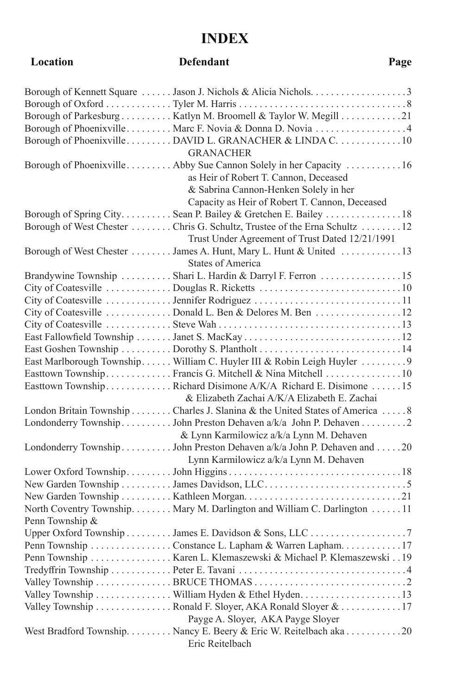# **INDEX**

## **Location Defendant Page**

|                 | Borough of Kennett Square  Jason J. Nichols & Alicia Nichols3               |
|-----------------|-----------------------------------------------------------------------------|
|                 |                                                                             |
|                 | Borough of Parkesburg  Katlyn M. Broomell & Taylor W. Megill 21             |
|                 | Borough of Phoenixville Marc F. Novia & Donna D. Novia 4                    |
|                 | Borough of PhoenixvilleDAVID L. GRANACHER & LINDA C10                       |
|                 | <b>GRANACHER</b>                                                            |
|                 | Borough of Phoenixville Abby Sue Cannon Solely in her Capacity 16           |
|                 | as Heir of Robert T. Cannon, Deceased                                       |
|                 | & Sabrina Cannon-Henken Solely in her                                       |
|                 | Capacity as Heir of Robert T. Cannon, Deceased                              |
|                 | Borough of Spring City Sean P. Bailey & Gretchen E. Bailey  18              |
|                 | Borough of West Chester  Chris G. Schultz, Trustee of the Erna Schultz  12  |
|                 | Trust Under Agreement of Trust Dated 12/21/1991                             |
|                 | Borough of West Chester  James A. Hunt, Mary L. Hunt & United 13            |
|                 | <b>States of America</b>                                                    |
|                 | Brandywine Township  Shari L. Hardin & Darryl F. Ferron 15                  |
|                 |                                                                             |
|                 |                                                                             |
|                 | City of Coatesville  Donald L. Ben & Delores M. Ben 12                      |
|                 |                                                                             |
|                 |                                                                             |
|                 |                                                                             |
|                 | East Marlborough Township William C. Huyler III & Robin Leigh Huyler  9     |
|                 | Easttown Township. Francis G. Mitchell & Nina Mitchell 10                   |
|                 | Easttown TownshipRichard Disimone A/K/A Richard E. Disimone 15              |
|                 | & Elizabeth Zachai A/K/A Elizabeth E. Zachai                                |
|                 | London Britain Township Charles J. Slanina & the United States of America 8 |
|                 | Londonderry Township  John Preston Dehaven a/k/a John P. Dehaven  2         |
|                 | & Lynn Karmilowicz a/k/a Lynn M. Dehaven                                    |
|                 | Londonderry Township John Preston Dehaven a/k/a John P. Dehaven and 20      |
|                 | Lynn Karmilowicz a/k/a Lynn M. Dehaven                                      |
|                 |                                                                             |
|                 |                                                                             |
|                 |                                                                             |
|                 | North Coventry Township. Mary M. Darlington and William C. Darlington 11    |
| Penn Township & |                                                                             |
|                 |                                                                             |
|                 | Penn Township Constance L. Lapham & Warren Lapham. 17                       |
|                 | Penn Township  Karen L. Klemaszewski & Michael P. Klemaszewski19            |
|                 |                                                                             |
|                 |                                                                             |
|                 |                                                                             |
|                 | Valley Township  Ronald F. Sloyer, AKA Ronald Sloyer & 17                   |
|                 | Payge A. Sloyer, AKA Payge Sloyer                                           |
|                 | West Bradford Township. Nancy E. Beery & Eric W. Reitelbach aka 20          |
|                 | Eric Reitelbach                                                             |